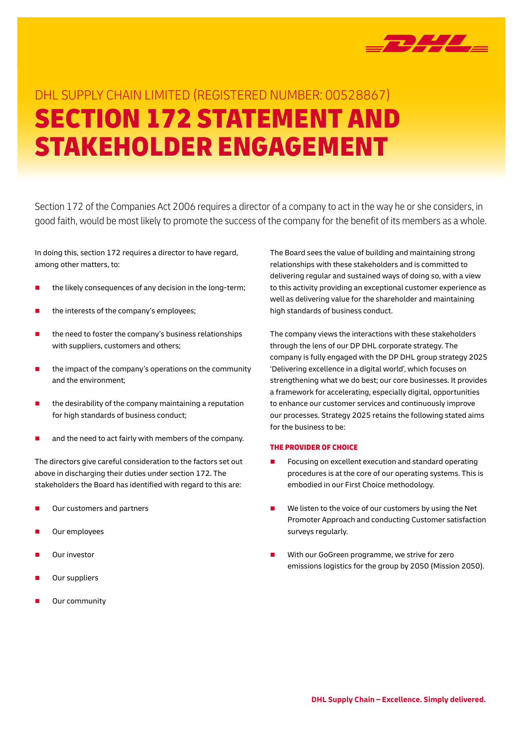

# DHL SUPPLY CHAIN LIMITED (REGISTERED NUMBER: 00528867) SECTION 172 STATEMENT AND STAKEHOLDER ENGAGEMENT

Section 172 of the Companies Act 2006 requires a director of a company to act in the way he or she considers, in good faith, would be most likely to promote the success of the company for the benefit of its members as a whole.

In doing this, section 172 requires a director to have regard, among other matters, to:

- the likely consequences of any decision in the long-term;
- the interests of the company's employees;
- the need to foster the company's business relationships with suppliers, customers and others;
- the impact of the company's operations on the community and the environment;
- the desirability of the company maintaining a reputation for high standards of business conduct;
- and the need to act fairly with members of the company.

The directors give careful consideration to the factors set out above in discharging their duties under section 172. The stakeholders the Board has identified with regard to this are:

- Our customers and partners
- Our employees
- Our investor
- Our suppliers
- Our community

The Board sees the value of building and maintaining strong relationships with these stakeholders and is committed to delivering regular and sustained ways of doing so, with a view to this activity providing an exceptional customer experience as well as delivering value for the shareholder and maintaining high standards of business conduct.

The company views the interactions with these stakeholders through the lens of our DP DHL corporate strategy. The company is fully engaged with the DP DHL group strategy 2025 'Delivering excellence in a digital world', which focuses on strengthening what we do best; our core businesses. It provides a framework for accelerating, especially digital, opportunities to enhance our customer services and continuously improve our processes. Strategy 2025 retains the following stated aims for the business to be:

### THE PROVIDER OF CHOICE

- Focusing on excellent execution and standard operating procedures is at the core of our operating systems. This is embodied in our First Choice methodology.
- We listen to the voice of our customers by using the Net Promoter Approach and conducting Customer satisfaction surveys regularly.
- With our GoGreen programme, we strive for zero emissions logistics for the group by 2050 (Mission 2050).